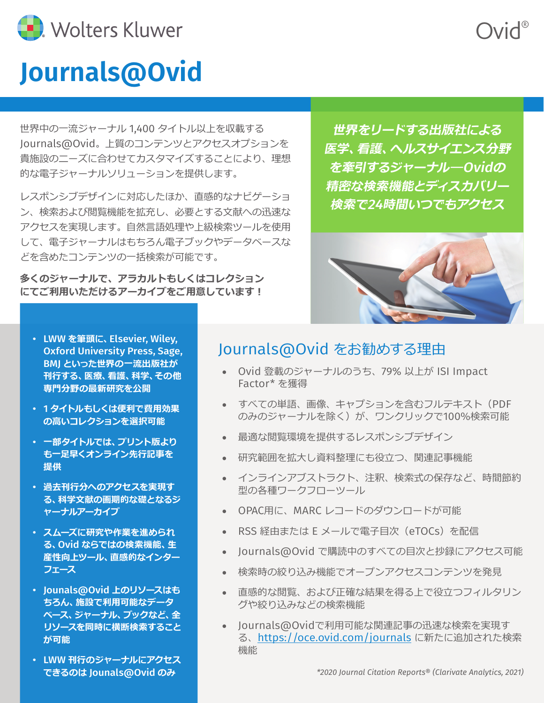

# **Journals@Ovid**

世界中の一流ジャーナル 1,400 タイトル以上を収載する Journals@Ovid。上質のコンテンツとアクセスオプションを 貴施設のニーズに合わせてカスタマイズすることにより、理想 的な電子ジャーナルソリューションを提供します。

レスポンシブデザインに対応したほか、直感的なナビゲーショ ン、検索および閲覧機能を拡充し、必要とする文献への迅速な アクセスを実現します。自然言語処理や上級検索ツールを使用 して、電子ジャーナルはもちろん電子ブックやデータベースな どを含めたコンテンツの一括検索が可能です。

**多くのジャーナルで、アラカルトもしくはコレクション にてご利用いただけるアーカイブをご用意しています︕**

**世界をリードする出版社による 医学、看護、ヘルスサイエンス分野 を牽引するジャーナル―**Ovid**の 精密な検索機能とディスカバリー 検索で**24**時間いつでもアクセス**

Ovid®



- LWW **を筆頭に、**Elsevier, Wiley, Oxford University Press, Sage, BMJ **といった世界の一流出版社が 刊行する、医療、看護、科学、その他 専門分野の最新研究を公開**
- 1 **タイトルもしくは便利で費用効果 の高いコレクションを選択可能**
- **一部タイトルでは、プリント版より も一足早くオンライン先行記事を 提供**
- **過去刊行分へのアクセスを実現す る、科学文献の画期的な礎となるジ ャーナルアーカイブ**
- **スムーズに研究や作業を進められ る、**Ovid **ならではの検索機能、生 産性向上ツール、直感的なインター フェース**
- Jounals@Ovid **上のリソースはも ちろん、施設で利用可能なデータ ベース、ジャーナル、ブックなど、全 リソースを同時に横断検索すること が可能**
- LWW **刊行のジャーナルにアクセス できるのは** Jounals@Ovid **のみ**

# Journals@Ovid をお勧めする理由

- • Ovid 登載のジャーナルのうち、79% 以上が ISI Impact Factor\* を獲得
- • すべての単語、画像、キャプションを含むフルテキスト(PDF のみのジャーナルを除く)が、ワンクリックで100%検索可能
- • 最適な閲覧環境を提供するレスポンシブデザイン
- • 研究範囲を拡大し資料整理にも役立つ、関連記事機能
- インラインアブストラクト、注釈、検索式の保存など、時間節約 型の各種ワークフローツール
- OPAC用に、MARC レコードのダウンロードが可能
- • RSS 経由または E メールで電子目次(eTOCs)を配信
- • Journals@Ovid で購読中のすべての目次と抄録にアクセス可能
- 検索時の絞り込み機能でオープンアクセスコンテンツを発見
- • 直感的な閲覧、および正確な結果を得る上で役立つフィルタリン グや絞り込みなどの検索機能
- • Journals@Ovidで利用可能な関連記事の迅速な検索を実現す る、<https://oce.ovid.com/journals> に新たに追加された検索 機能